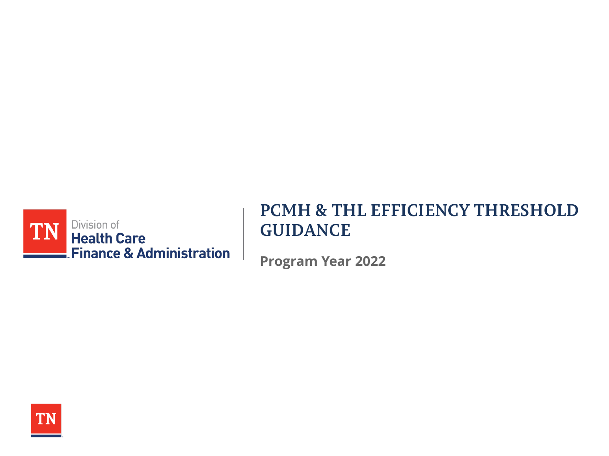

## **PCMH & THL EFFICIENCY THRESHOLD GUIDANCE**

**Program Year 2022**

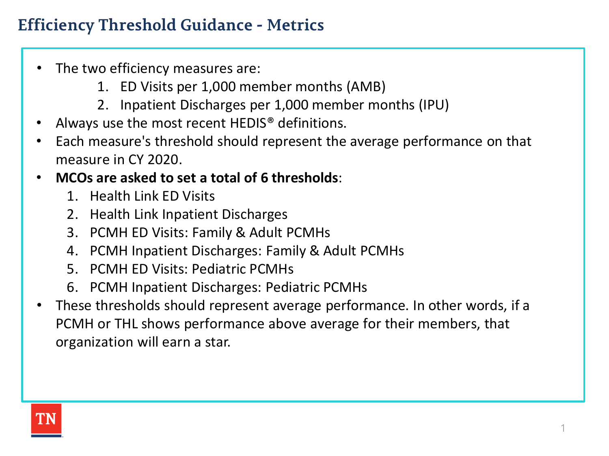# **Efficiency Threshold Guidance - Metrics**

- The two efficiency measures are:
	- 1. ED Visits per 1,000 member months (AMB)
	- 2. Inpatient Discharges per 1,000 member months (IPU)
- Always use the most recent HEDIS<sup>®</sup> definitions.
- Each measure's threshold should represent the average performance on that measure in CY 2020.
- **MCOs are asked to set a total of 6 thresholds**:
	- 1. Health Link ED Visits
	- 2. Health Link Inpatient Discharges
	- 3. PCMH ED Visits: Family & Adult PCMHs
	- 4. PCMH Inpatient Discharges: Family & Adult PCMHs
	- 5. PCMH ED Visits: Pediatric PCMHs
	- 6. PCMH Inpatient Discharges: Pediatric PCMHs
- These thresholds should represent average performance. In other words, if a PCMH or THL shows performance above average for their members, that organization will earn a star.

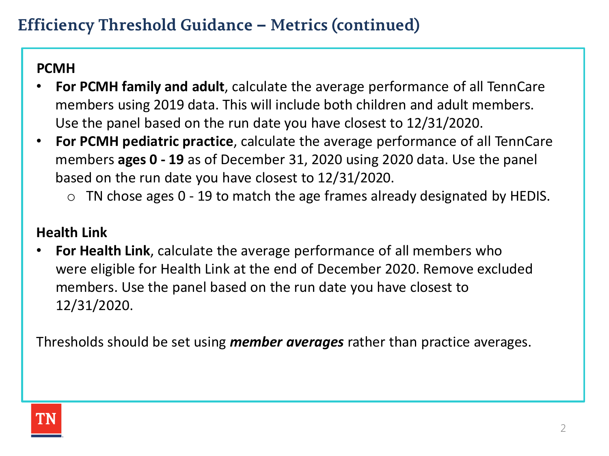#### **PCMH**

- **For PCMH family and adult**, calculate the average performance of all TennCare members using 2019 data. This will include both children and adult members. Use the panel based on the run date you have closest to 12/31/2020.
- **For PCMH pediatric practice**, calculate the average performance of all TennCare members **ages 0 - 19** as of December 31, 2020 using 2020 data. Use the panel based on the run date you have closest to 12/31/2020.
	- $\circ$  TN chose ages 0 19 to match the age frames already designated by HEDIS.

### **Health Link**

• **For Health Link**, calculate the average performance of all members who were eligible for Health Link at the end of December 2020. Remove excluded members. Use the panel based on the run date you have closest to 12/31/2020.

Thresholds should be set using *member averages* rather than practice averages.